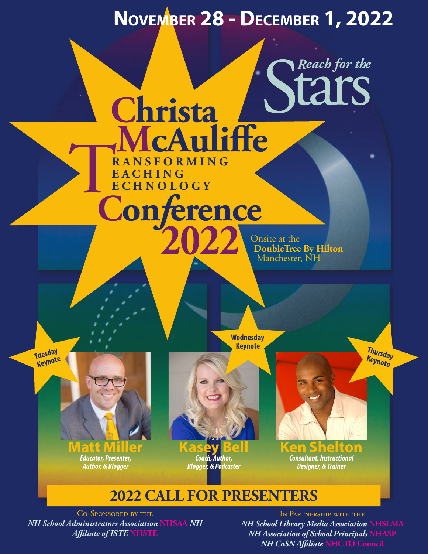# **November 28 - December 1, 2022**

**Con***f***erence RANSFORMING E A C H I N G ECHNOLOGY**

**2022**

**Christa McAuliffe**

Onsite at the **DoubleTree By Hilton**  Manchester, NH

*Reach for the*

**Keynote Tuesday Tuesday**<br>Keynote

**Wednesday** 

**Thursday Keynote**

**Matt Miller** *Educator, Presenter, Author, & Blogger*

**Kasey Bell** *Coach, Author, Blogger, & Podcaster*

**Ken Shelton** *Consultant, Instructional Designer, & Trainer*

### **2022 CALL FOR PRESENTERS**

Co-Sponsored by the *NH School Administrators Association* **NHSAA** *NH Affiliate of ISTE* **NHSTE**

In Partnership with the *NH School Library Media Association* **NHSLMA** *NH Association of School Principals* **NHASP** *NH CoSN Affiliate* **NHCTO Council**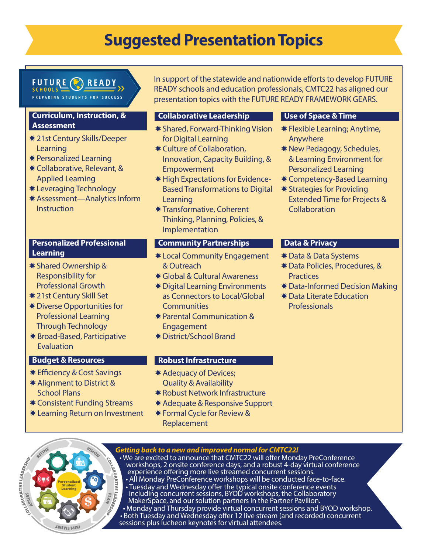## **Suggested Presentation Topics**

#### FUTURE READY **SCHOOLS**

ARING STUDENTS FOR

### **Curriculum, Instruction, & Assessment**

- \* 21st Century Skills/Deeper Learning
- **\*** Personalized Learning
- **\* Collaborative, Relevant, &** Applied Learning
- \* Leveraging Technology
- \* Assessment—Analytics Inform **Instruction**

#### **Personalized Professional Learning**

- **\*** Shared Ownership & Responsibility for Professional Growth
- **\* 21st Century Skill Set**
- **\*** Diverse Opportunities for Professional Learning Through Technology
- **\*** Broad-Based, Participative Evaluation

### **Budget & Resources**

- **\* Efficiency & Cost Savings**
- \* Alignment to District & School Plans
- **\* Consistent Funding Streams**
- **\*** Learning Return on Investment

In support of the statewide and nationwide efforts to develop FUTURE READY schools and education professionals, CMTC22 has aligned our presentation topics with the FUTURE READY FRAMEWORK GEARS.

### **Collaborative Leadership**

- **\* Shared, Forward-Thinking Vision** for Digital Learning
- \* Culture of Collaboration, Innovation, Capacity Building, & **Empowerment**
- \* High Expectations for Evidence-Based Transformations to Digital Learning
- **\* Transformative, Coherent** Thinking, Planning, Policies, & Implementation

### **Community Partnerships**

- arning European March 2014 March 2015 March 2016 or Services Provides Para Systems and Transition Andrew Framework & Outreach
	- **\*** Global & Cultural Awareness
	- **\*** Digital Learning Environments as Connectors to Local/Global **Communities**
	- **\*** Parental Communication & **Engagement**
	- XDistrict/School Brand

### **Robust Infrastructure**

- \* Adequacy of Devices; Quality & Availability
- **\* Robust Network Infrastructure**
- \* Adequate & Responsive Support
- **\* Formal Cycle for Review &** Replacement

### **Use of Space & Time**

- $*$  Flexible Learning; Anytime, Anywhere
- \* New Pedagogy, Schedules, & Learning Environment for Personalized Learning
- \* Competency-Based Learning
- **\* Strategies for Providing** Extended Time for Projects & Collaboration

### **Data & Privacy**

- \* Data & Data Systems
- \* Data Policies, Procedures, & **Practices**
- \* Data-Informed Decision Making
- **\* Data Literate Education** Professionals

*Getting back to a new and improved normal for CMTC22!*



experience offering more live streamed concurrent sessions. • All Monday PreConference workshops will be conducted face-to-face. • Tuesday and Wednesday offer the typical onsite conference events including concurrent sessions, BYOD workshops, the Collaboratory MakerSpace, and our solution partners in the Partner Pavilion. • Monday and Thursday provide virtual concurrent sessions and BYOD workshop. • Both Tuesday and Wednesday offer 12 live stream (and recorded) concurrent sessions plus lucheon keynotes for virtual attendees.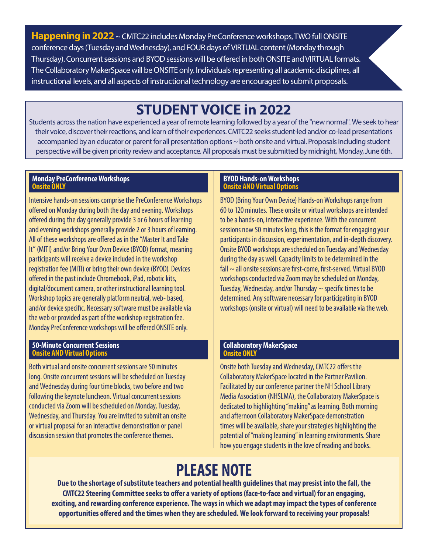**Happening in 2022** ~ CMTC22 includes Monday PreConference workshops, TWO full ONSITE conference days (Tuesday and Wednesday), and FOUR days of VIRTUAL content (Monday through Thursday). Concurrent sessions and BYOD sessions will be offered in both ONSITE and VIRTUAL formats. The Collaboratory MakerSpace will be ONSITE only. Individuals representing all academic disciplines, all instructional levels, and all aspects of instructional technology are encouraged to submit proposals.

### **STUDENT VOICE in 2022**

Students across the nation have experienced a year of remote learning followed by a year of the "new normal". We seek to hear their voice, discover their reactions, and learn of their experiences. CMTC22 seeks student-led and/or co-lead presentations accompanied by an educator or parent for all presentation options ~ both onsite and virtual. Proposals including student perspective will be given priority review and acceptance. All proposals must be submitted by midnight, Monday, June 6th.

#### **Monday PreConference Workshops Onsite ONLY**

Intensive hands-on sessions comprise the PreConference Workshops offered on Monday during both the day and evening. Workshops offered during the day generally provide 3 or 6 hours of learning and evening workshops generally provide 2 or 3 hours of learning. All of these workshops are offered as in the "Master It and Take It" (MITI) and/or Bring Your Own Device (BYOD) format, meaning participants will receive a device included in the workshop registration fee (MITI) or bring their own device (BYOD). Devices offered in the past include Chromebook, iPad, robotic kits, digital/document camera, or other instructional learning tool. Workshop topics are generally platform neutral, web- based, and/or device specific. Necessary software must be available via the web or provided as part of the workshop registration fee. Monday PreConference workshops will be offered ONSITE only.

#### **50-Minute Concurrent Sessions Onsite AND Virtual Options**

Both virtual and onsite concurrent sessions are 50 minutes long. Onsite concurrent sessions will be scheduled on Tuesday and Wednesday during four time blocks, two before and two following the keynote luncheon. Virtual concurrent sessions conducted via Zoom will be scheduled on Monday, Tuesday, Wednesday, and Thursday. You are invited to submit an onsite or virtual proposal for an interactive demonstration or panel discussion session that promotes the conference themes.

#### **BYOD Hands-on Workshops Onsite AND Virtual Options**

BYOD (Bring Your Own Device) Hands-on Workshops range from 60 to 120 minutes. These onsite or virtual workshops are intended to be a hands-on, interactive experience. With the concurrent sessions now 50 minutes long, this is the format for engaging your participants in discussion, experimentation, and in-depth discovery. Onsite BYOD workshops are scheduled on Tuesday and Wednesday during the day as well. Capacity limits to be determined in the fall  $\sim$  all onsite sessions are first-come, first-served. Virtual BYOD workshops conducted via Zoom may be scheduled on Monday, Tuesday, Wednesday, and/or Thursday  $\sim$  specific times to be determined. Any software necessary for participating in BYOD workshops (onsite or virtual) will need to be available via the web.

#### **Collaboratory MakerSpace Onsite ONLY**

Onsite both Tuesday and Wednesday, CMTC22 offers the Collaboratory MakerSpace located in the Partner Pavilion. Facilitated by our conference partner the NH School Library Media Association (NHSLMA), the Collaboratory MakerSpace is dedicated to highlighting "making" as learning. Both morning and afternoon Collaboratory MakerSpace demonstration times will be available, share your strategies highlighting the potential of "making learning" in learning environments. Share how you engage students in the love of reading and books.

## **PLEASE NOTE**

**Due to the shortage of substitute teachers and potential health guidelines that may presist into the fall, the CMTC22 Steering Committee seeks to offer a variety of options (face-to-face and virtual) for an engaging, exciting, and rewarding conference experience. The ways in which we adapt may impact the types of conference opportunities offered and the times when they are scheduled. We look forward to receiving your proposals!**